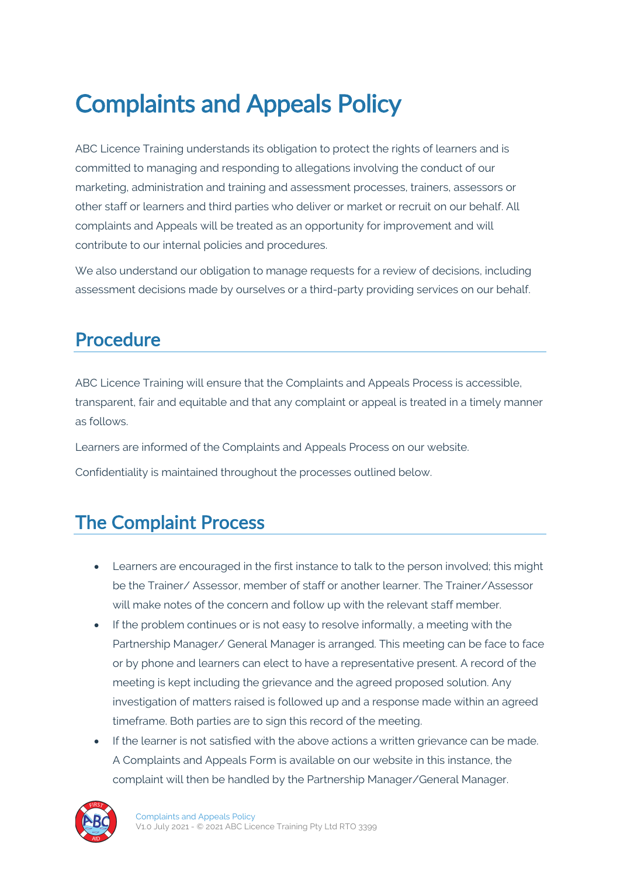# Complaints and Appeals Policy

ABC Licence Training understands its obligation to protect the rights of learners and is committed to managing and responding to allegations involving the conduct of our marketing, administration and training and assessment processes, trainers, assessors or other staff or learners and third parties who deliver or market or recruit on our behalf. All complaints and Appeals will be treated as an opportunity for improvement and will contribute to our internal policies and procedures.

We also understand our obligation to manage requests for a review of decisions, including assessment decisions made by ourselves or a third-party providing services on our behalf.

# Procedure

ABC Licence Training will ensure that the Complaints and Appeals Process is accessible, transparent, fair and equitable and that any complaint or appeal is treated in a timely manner as follows.

Learners are informed of the Complaints and Appeals Process on our website.

Confidentiality is maintained throughout the processes outlined below.

# The Complaint Process

- Learners are encouraged in the first instance to talk to the person involved; this might be the Trainer/ Assessor, member of staff or another learner. The Trainer/Assessor will make notes of the concern and follow up with the relevant staff member.
- If the problem continues or is not easy to resolve informally, a meeting with the Partnership Manager/ General Manager is arranged. This meeting can be face to face or by phone and learners can elect to have a representative present. A record of the meeting is kept including the grievance and the agreed proposed solution. Any investigation of matters raised is followed up and a response made within an agreed timeframe. Both parties are to sign this record of the meeting.
- If the learner is not satisfied with the above actions a written grievance can be made. A Complaints and Appeals Form is available on our website in this instance, the complaint will then be handled by the Partnership Manager/General Manager.

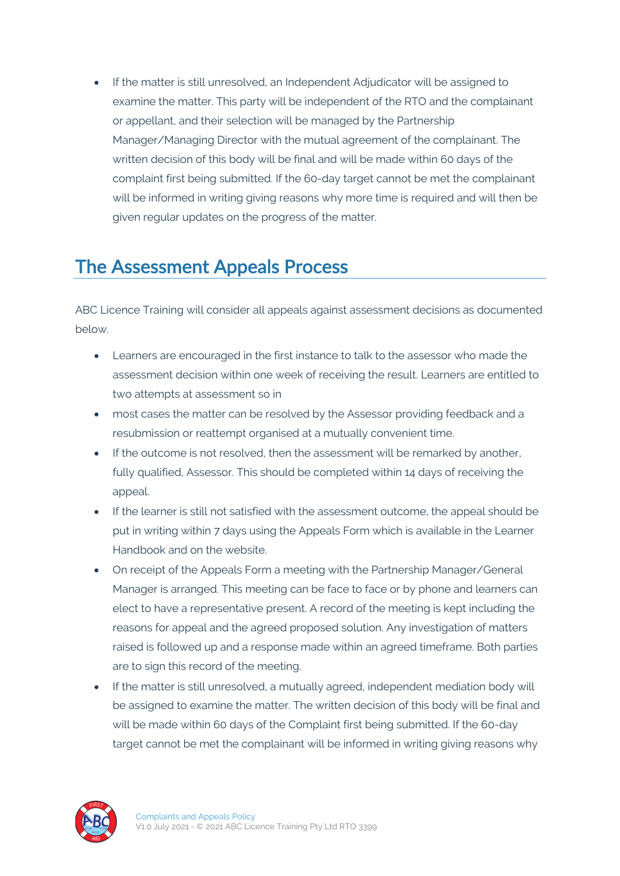• If the matter is still unresolved, an Independent Adjudicator will be assigned to examine the matter. This party will be independent of the RTO and the complainant or appellant, and their selection will be managed by the Partnership Manager/Managing Director with the mutual agreement of the complainant. The written decision of this body will be final and will be made within 60 days of the complaint first being submitted. If the 60-day target cannot be met the complainant will be informed in writing giving reasons why more time is required and will then be given regular updates on the progress of the matter.

## The Assessment Appeals Process

ABC Licence Training will consider all appeals against assessment decisions as documented below.

- Learners are encouraged in the first instance to talk to the assessor who made the assessment decision within one week of receiving the result. Learners are entitled to two attempts at assessment so in
- most cases the matter can be resolved by the Assessor providing feedback and a resubmission or reattempt organised at a mutually convenient time.
- If the outcome is not resolved, then the assessment will be remarked by another, fully qualified, Assessor. This should be completed within 14 days of receiving the appeal.
- If the learner is still not satisfied with the assessment outcome, the appeal should be put in writing within 7 days using the Appeals Form which is available in the Learner Handbook and on the website.
- On receipt of the Appeals Form a meeting with the Partnership Manager/General Manager is arranged. This meeting can be face to face or by phone and learners can elect to have a representative present. A record of the meeting is kept including the reasons for appeal and the agreed proposed solution. Any investigation of matters raised is followed up and a response made within an agreed timeframe. Both parties are to sign this record of the meeting.
- If the matter is still unresolved, a mutually agreed, independent mediation body will be assigned to examine the matter. The written decision of this body will be final and will be made within 60 days of the Complaint first being submitted. If the 60-day target cannot be met the complainant will be informed in writing giving reasons why